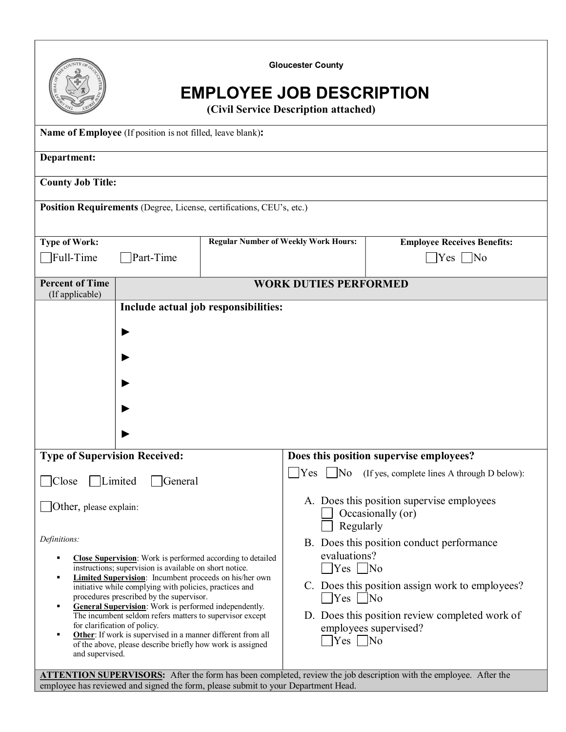| <b>Gloucester County</b><br><b>EMPLOYEE JOB DESCRIPTION</b><br>(Civil Service Description attached)                                                                                                                                                                                                                                                                                                                                                                                                                                                                                                                                                                                                                    |                                             |                                                                                                                                                                                                                                                                                                                                                                                                                           |                                         |  |
|------------------------------------------------------------------------------------------------------------------------------------------------------------------------------------------------------------------------------------------------------------------------------------------------------------------------------------------------------------------------------------------------------------------------------------------------------------------------------------------------------------------------------------------------------------------------------------------------------------------------------------------------------------------------------------------------------------------------|---------------------------------------------|---------------------------------------------------------------------------------------------------------------------------------------------------------------------------------------------------------------------------------------------------------------------------------------------------------------------------------------------------------------------------------------------------------------------------|-----------------------------------------|--|
| Name of Employee (If position is not filled, leave blank):                                                                                                                                                                                                                                                                                                                                                                                                                                                                                                                                                                                                                                                             |                                             |                                                                                                                                                                                                                                                                                                                                                                                                                           |                                         |  |
| Department:                                                                                                                                                                                                                                                                                                                                                                                                                                                                                                                                                                                                                                                                                                            |                                             |                                                                                                                                                                                                                                                                                                                                                                                                                           |                                         |  |
| <b>County Job Title:</b>                                                                                                                                                                                                                                                                                                                                                                                                                                                                                                                                                                                                                                                                                               |                                             |                                                                                                                                                                                                                                                                                                                                                                                                                           |                                         |  |
| Position Requirements (Degree, License, certifications, CEU's, etc.)                                                                                                                                                                                                                                                                                                                                                                                                                                                                                                                                                                                                                                                   |                                             |                                                                                                                                                                                                                                                                                                                                                                                                                           |                                         |  |
| <b>Type of Work:</b>                                                                                                                                                                                                                                                                                                                                                                                                                                                                                                                                                                                                                                                                                                   | <b>Regular Number of Weekly Work Hours:</b> |                                                                                                                                                                                                                                                                                                                                                                                                                           | <b>Employee Receives Benefits:</b>      |  |
| Full-Time<br>Part-Time                                                                                                                                                                                                                                                                                                                                                                                                                                                                                                                                                                                                                                                                                                 |                                             |                                                                                                                                                                                                                                                                                                                                                                                                                           | $\overline{\rm No}$<br>Yes              |  |
| <b>Percent of Time</b><br>(If applicable)                                                                                                                                                                                                                                                                                                                                                                                                                                                                                                                                                                                                                                                                              | <b>WORK DUTIES PERFORMED</b>                |                                                                                                                                                                                                                                                                                                                                                                                                                           |                                         |  |
|                                                                                                                                                                                                                                                                                                                                                                                                                                                                                                                                                                                                                                                                                                                        |                                             |                                                                                                                                                                                                                                                                                                                                                                                                                           |                                         |  |
| <b>Type of Supervision Received:</b>                                                                                                                                                                                                                                                                                                                                                                                                                                                                                                                                                                                                                                                                                   |                                             |                                                                                                                                                                                                                                                                                                                                                                                                                           | Does this position supervise employees? |  |
| Limited<br>Close<br>  General<br>$\Box$ Other, please explain:<br>Definitions:<br><b>Close Supervision:</b> Work is performed according to detailed<br>٠<br>instructions; supervision is available on short notice.<br><b>Limited Supervision:</b> Incumbent proceeds on his/her own<br>٠<br>initiative while complying with policies, practices and<br>procedures prescribed by the supervisor.<br><b>General Supervision:</b> Work is performed independently.<br>٠<br>The incumbent seldom refers matters to supervisor except<br>for clarification of policy.<br>Other: If work is supervised in a manner different from all<br>٠<br>of the above, please describe briefly how work is assigned<br>and supervised. |                                             | Yes<br>N <sub>0</sub><br>(If yes, complete lines A through D below):<br>A. Does this position supervise employees<br>Occasionally (or)<br>Regularly<br>B. Does this position conduct performance<br>evaluations?<br>$\bigcap$ Yes $\bigcap$ No<br>C. Does this position assign work to employees?<br>$ $ Yes $ $ No<br>D. Does this position review completed work of<br>employees supervised?<br>$\exists$ Yes $\Box$ No |                                         |  |
| <b>ATTENTION SUPERVISORS:</b> After the form has been completed, review the job description with the employee. After the<br>employee has reviewed and signed the form, please submit to your Department Head.                                                                                                                                                                                                                                                                                                                                                                                                                                                                                                          |                                             |                                                                                                                                                                                                                                                                                                                                                                                                                           |                                         |  |